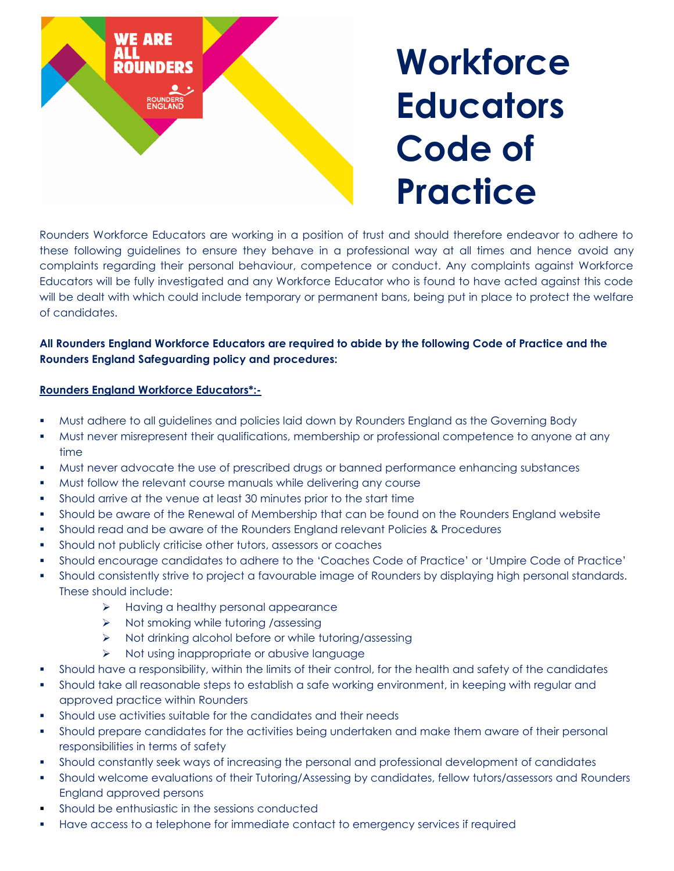

## **Workforce Educators Code of Practice**

Rounders Workforce Educators are working in a position of trust and should therefore endeavor to adhere to these following guidelines to ensure they behave in a professional way at all times and hence avoid any complaints regarding their personal behaviour, competence or conduct. Any complaints against Workforce Educators will be fully investigated and any Workforce Educator who is found to have acted against this code will be dealt with which could include temporary or permanent bans, being put in place to protect the welfare of candidates.

## **All Rounders England Workforce Educators are required to abide by the following Code of Practice and the Rounders England Safeguarding policy and procedures:**

## **Rounders England Workforce Educators\*:-**

- Must adhere to all guidelines and policies laid down by Rounders England as the Governing Body
- Must never misrepresent their qualifications, membership or professional competence to anyone at any time
- Must never advocate the use of prescribed drugs or banned performance enhancing substances
- **Must follow the relevant course manuals while delivering any course**
- Should arrive at the venue at least 30 minutes prior to the start time
- Should be aware of the Renewal of Membership that can be found on the Rounders England website
- Should read and be aware of the Rounders England relevant Policies & Procedures
- Should not publicly criticise other tutors, assessors or coaches
- Should encourage candidates to adhere to the 'Coaches Code of Practice' or 'Umpire Code of Practice'
- Should consistently strive to project a favourable image of Rounders by displaying high personal standards. These should include:
	- $\triangleright$  Having a healthy personal appearance
	- $\triangleright$  Not smoking while tutoring /assessing
	- > Not drinking alcohol before or while tutoring/assessing
	- $\triangleright$  Not using inappropriate or abusive language
- Should have a responsibility, within the limits of their control, for the health and safety of the candidates
- Should take all reasonable steps to establish a safe working environment, in keeping with regular and approved practice within Rounders
- Should use activities suitable for the candidates and their needs
- Should prepare candidates for the activities being undertaken and make them aware of their personal responsibilities in terms of safety
- Should constantly seek ways of increasing the personal and professional development of candidates
- Should welcome evaluations of their Tutoring/Assessing by candidates, fellow tutors/assessors and Rounders England approved persons
- Should be enthusiastic in the sessions conducted
- Have access to a telephone for immediate contact to emergency services if required